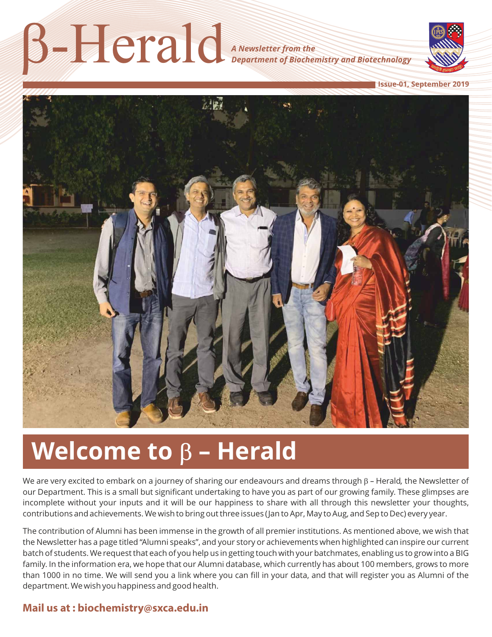b-Herald

*A Newsletter from the Department of Biochemistry and Biotechnology*



**Issue-01, September 2019**



# **Welcome to**  $β$  – **Herald**

We are very excited to embark on a journey of sharing our endeavours and dreams through  $\beta$  – Herald, the Newsletter of our Department. This is a small but significant undertaking to have you as part of our growing family. These glimpses are incomplete without your inputs and it will be our happiness to share with all through this newsletter your thoughts, contributions and achievements. We wish to bring out three issues (Jan to Apr, May to Aug, and Sep to Dec) every year.

The contribution of Alumni has been immense in the growth of all premier institutions. As mentioned above, we wish that the Newsletter has a page titled "Alumni speaks", and your story or achievements when highlighted can inspire our current batch of students. We request that each of you help us in getting touch with your batchmates, enabling us to grow into a BIG family. In the information era, we hope that our Alumni database, which currently has about 100 members, grows to more than 1000 in no time. We will send you a link where you can fill in your data, and that will register you as Alumni of the department. We wish you happiness and good health.

#### **Mail us at : biochemistry@sxca.edu.in**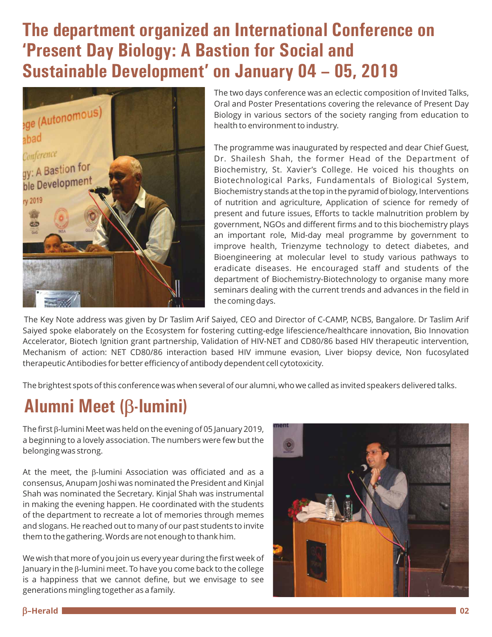# **The department organized an International Conference on 'Present Day Biology: A Bastion for Social and Sustainable Development' on January 04 – 05, 2019**



The two days conference was an eclectic composition of Invited Talks, Oral and Poster Presentations covering the relevance of Present Day Biology in various sectors of the society ranging from education to health to environment to industry.

The programme was inaugurated by respected and dear Chief Guest, Dr. Shailesh Shah, the former Head of the Department of Biochemistry, St. Xavier's College. He voiced his thoughts on Biotechnological Parks, Fundamentals of Biological System, Biochemistry stands at the top in the pyramid of biology, Interventions of nutrition and agriculture, Application of science for remedy of present and future issues, Efforts to tackle malnutrition problem by government, NGOs and different firms and to this biochemistry plays an important role, Mid-day meal programme by government to improve health, Trienzyme technology to detect diabetes, and Bioengineering at molecular level to study various pathways to eradicate diseases. He encouraged staff and students of the department of Biochemistry-Biotechnology to organise many more seminars dealing with the current trends and advances in the field in the coming days.

The Key Note address was given by Dr Taslim Arif Saiyed, CEO and Director of C-CAMP, NCBS, Bangalore. Dr Taslim Arif Saiyed spoke elaborately on the Ecosystem for fostering cutting-edge lifescience/healthcare innovation, Bio Innovation Accelerator, Biotech Ignition grant partnership, Validation of HIV-NET and CD80/86 based HIV therapeutic intervention, Mechanism of action: NET CD80/86 interaction based HIV immune evasion, Liver biopsy device, Non fucosylated therapeutic Antibodies for better efficiency of antibody dependent cell cytotoxicity.

The brightest spots of this conference was when several of our alumni, who we called as invited speakers delivered talks.

# **Alumni Meet (**b**-lumini)**

The first  $\beta$ -lumini Meet was held on the evening of 05 January 2019, a beginning to a lovely association. The numbers were few but the belonging was strong.

At the meet, the  $\beta$ -lumini Association was officiated and as a consensus, Anupam Joshi was nominated the President and Kinjal Shah was nominated the Secretary. Kinjal Shah was instrumental in making the evening happen. He coordinated with the students of the department to recreate a lot of memories through memes and slogans. He reached out to many of our past students to invite them to the gathering. Words are not enough to thank him.

We wish that more of you join us every year during the first week of January in the  $\beta$ -lumini meet. To have you come back to the college is a happiness that we cannot define, but we envisage to see generations mingling together as a family.

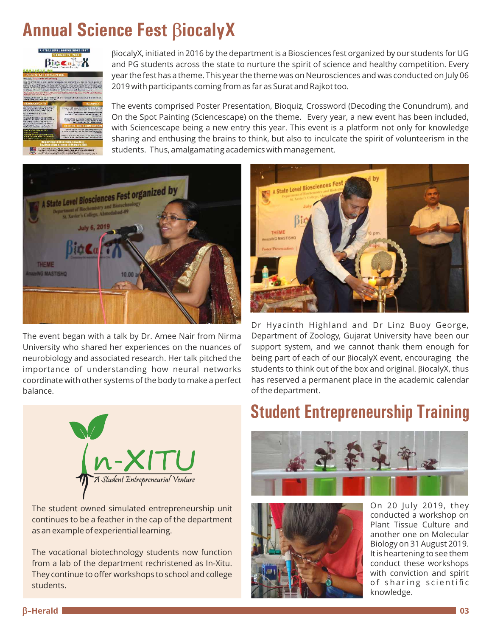# **Annual Science Fest BiocalyX**



biocalyX, initiated in 2016 by the department is a Biosciences fest organized by our students for UG and PG students across the state to nurture the spirit of science and healthy competition. Every year the fest has a theme. This year the theme was on Neurosciences and was conducted on July 06 2019 with participants coming from as far as Surat and Rajkot too.

The events comprised Poster Presentation, Bioquiz, Crossword (Decoding the Conundrum), and On the Spot Painting (Sciencescape) on the theme. Every year, a new event has been included, with Sciencescape being a new entry this year. This event is a platform not only for knowledge sharing and enthusing the brains to think, but also to inculcate the spirit of volunteerism in the students. Thus, amalgamating academics with management.



The event began with a talk by Dr. Amee Nair from Nirma University who shared her experiences on the nuances of neurobiology and associated research. Her talk pitched the importance of understanding how neural networks coordinate with other systems of the body to make a perfect balance.



The student owned simulated entrepreneurship unit continues to be a feather in the cap of the department as an example of experiential learning.

The vocational biotechnology students now function from a lab of the department rechristened as In-Xitu. They continue to offer workshops to school and college students.



Dr Hyacinth Highland and Dr Linz Buoy George, Department of Zoology, Gujarat University have been our support system, and we cannot thank them enough for being part of each of our biocalyX event, encouraging the students to think out of the box and original. BiocalyX, thus has reserved a permanent place in the academic calendar of the department.

#### **Student Entrepreneurship Training**





On 20 July 2019, they conducted a workshop on Plant Tissue Culture and another one on Molecular Biology on 31 August 2019. It is heartening to see them conduct these workshops with conviction and spirit of sharing scientific knowledge.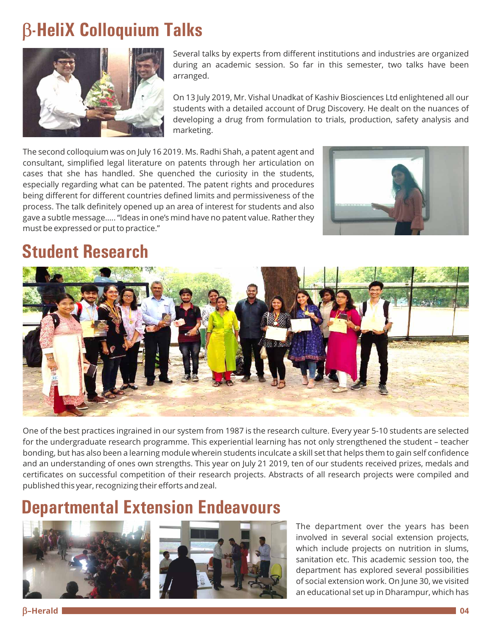# b**-HeliX Colloquium Talks**



Several talks by experts from different institutions and industries are organized during an academic session. So far in this semester, two talks have been arranged.

On 13 July 2019, Mr. Vishal Unadkat of Kashiv Biosciences Ltd enlightened all our students with a detailed account of Drug Discovery. He dealt on the nuances of developing a drug from formulation to trials, production, safety analysis and marketing.

The second colloquium was on July 16 2019. Ms. Radhi Shah, a patent agent and consultant, simplified legal literature on patents through her articulation on cases that she has handled. She quenched the curiosity in the students, especially regarding what can be patented. The patent rights and procedures being different for different countries defined limits and permissiveness of the process. The talk definitely opened up an area of interest for students and also gave a subtle message….. "Ideas in one's mind have no patent value. Rather they must be expressed or put to practice."



# **Student Research**



One of the best practices ingrained in our system from 1987 is the research culture. Every year 5-10 students are selected for the undergraduate research programme. This experiential learning has not only strengthened the student – teacher bonding, but has also been a learning module wherein students inculcate a skill set that helps them to gain self confidence and an understanding of ones own strengths. This year on July 21 2019, ten of our students received prizes, medals and certificates on successful competition of their research projects. Abstracts of all research projects were compiled and published this year, recognizing their efforts and zeal.

#### **Departmental Extension Endeavours**





The department over the years has been involved in several social extension projects, which include projects on nutrition in slums, sanitation etc. This academic session too, the department has explored several possibilities of social extension work. On June 30, we visited an educational set up in Dharampur, which has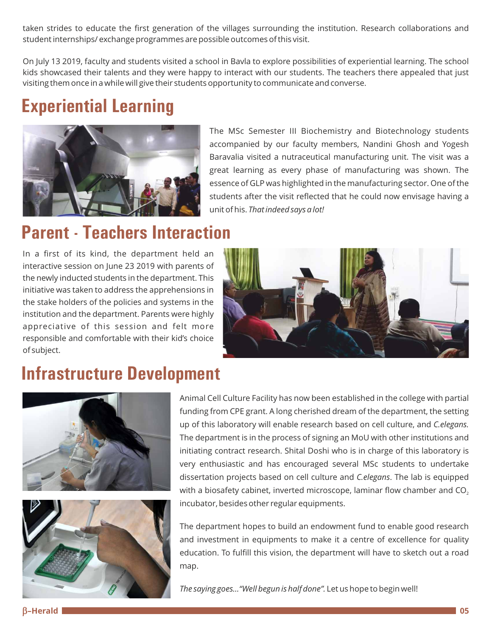taken strides to educate the first generation of the villages surrounding the institution. Research collaborations and student internships/ exchange programmes are possible outcomes of this visit.

On July 13 2019, faculty and students visited a school in Bavla to explore possibilities of experiential learning. The school kids showcased their talents and they were happy to interact with our students. The teachers there appealed that just visiting them once in a while will give their students opportunity to communicate and converse.

# **Experiential Learning**



The MSc Semester III Biochemistry and Biotechnology students accompanied by our faculty members, Nandini Ghosh and Yogesh Baravalia visited a nutraceutical manufacturing unit. The visit was a great learning as every phase of manufacturing was shown. The essence of GLP was highlighted in the manufacturing sector. One of the students after the visit reflected that he could now envisage having a unit of his. *That indeed says a lot!*

#### **Parent - Teachers Interaction**

In a first of its kind, the department held an interactive session on June 23 2019 with parents of the newly inducted students in the department. This initiative was taken to address the apprehensions in the stake holders of the policies and systems in the institution and the department. Parents were highly appreciative of this session and felt more responsible and comfortable with their kid's choice of subject.



#### **Infrastructure Development**





Animal Cell Culture Facility has now been established in the college with partial funding from CPE grant. A long cherished dream of the department, the setting up of this laboratory will enable research based on cell culture, and *C.elegans.* The department is in the process of signing an MoU with other institutions and initiating contract research. Shital Doshi who is in charge of this laboratory is very enthusiastic and has encouraged several MSc students to undertake dissertation projects based on cell culture and *C.elegans*. The lab is equipped with a biosafety cabinet, inverted microscope, laminar flow chamber and  $CO<sub>2</sub>$ incubator, besides other regular equipments.

The department hopes to build an endowment fund to enable good research and investment in equipments to make it a centre of excellence for quality education. To fulfill this vision, the department will have to sketch out a road map.

*The saying goes…"Well begun is half done".* Let us hope to begin well!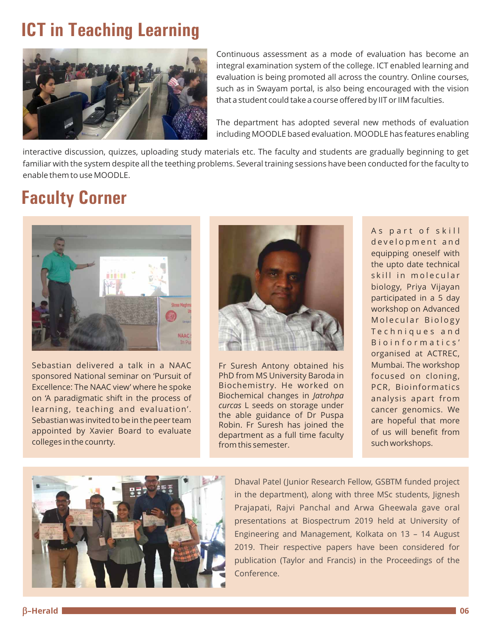# **ICT in Teaching Learning**



Continuous assessment as a mode of evaluation has become an integral examination system of the college. ICT enabled learning and evaluation is being promoted all across the country. Online courses, such as in Swayam portal, is also being encouraged with the vision that a student could take a course offered by IIT or IIM faculties.

The department has adopted several new methods of evaluation including MOODLE based evaluation. MOODLE has features enabling

interactive discussion, quizzes, uploading study materials etc. The faculty and students are gradually beginning to get familiar with the system despite all the teething problems. Several training sessions have been conducted for the faculty to enable them to use MOODLE.

#### **Faculty Corner**



Sebastian delivered a talk in a NAAC sponsored National seminar on 'Pursuit of Excellence: The NAAC view' where he spoke on 'A paradigmatic shift in the process of learning, teaching and evaluation'. Sebastian was invited to be in the peer team appointed by Xavier Board to evaluate colleges in the counrty.



Fr Suresh Antony obtained his PhD from MS University Baroda in Biochemistry. He worked on Biochemical changes in *Jatrohpa curcas* L seeds on storage under the able guidance of Dr Puspa Robin. Fr Suresh has joined the department as a full time faculty from this semester.

As part of skill development and equipping oneself with the upto date technical skill in molecular biology, Priya Vijayan participated in a 5 day workshop on Advanced Molecular Biology Techniques and B i o i n f o r m a t i c s ' organised at ACTREC, Mumbai. The workshop focused on cloning, PCR, Bioinformatics analysis apart from cancer genomics. We are hopeful that more of us will benefit from such workshops.



Dhaval Patel (Junior Research Fellow, GSBTM funded project in the department), along with three MSc students, Jignesh Prajapati, Rajvi Panchal and Arwa Gheewala gave oral presentations at Biospectrum 2019 held at University of Engineering and Management, Kolkata on 13 – 14 August 2019. Their respective papers have been considered for publication (Taylor and Francis) in the Proceedings of the Conference.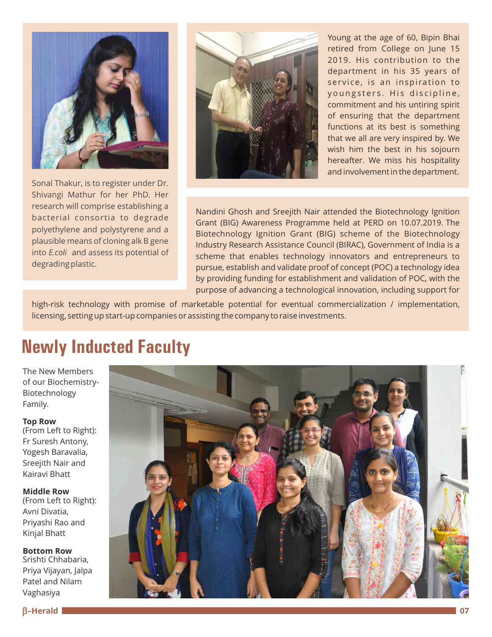

Sonal Thakur, is to register under Dr. Shivangi Mathur for her PhD. Her research will comprise establishing a bacterial consortia to degrade polyethylene and polystyrene and a plausible means of cloning alk B gene into *E.coli* and assess its potential of degrading plastic.



Young at the age of 60, Bipin Bhai retired from College on June 15 2019. His contribution to the department in his 35 years of service, is an inspiration to youngsters. His discipline, commitment and his untiring spirit of ensuring that the department functions at its best is something that we all are very inspired by. We wish him the best in his sojourn hereafter. We miss his hospitality and involvement in the department.

Nandini Ghosh and Sreejith Nair attended the Biotechnology Ignition Grant (BIG) Awareness Programme held at PERD on 10.07.2019. The Biotechnology Ignition Grant (BIG) scheme of the Biotechnology Industry Research Assistance Council (BIRAC), Government of India is a scheme that enables technology innovators and entrepreneurs to pursue, establish and validate proof of concept (POC) a technology idea by providing funding for establishment and validation of POC, with the purpose of advancing a technological innovation, including support for

high-risk technology with promise of marketable potential for eventual commercialization / implementation, licensing, setting up start-up companies or assisting the company to raise investments.

# **Newly Inducted Faculty**

The New Members of our Biochemistry-Biotechnology Family.

**Top Row**

(From Left to Right): Fr Suresh Antony, Yogesh Baravalia, Sreejith Nair and Kairavi Bhatt

**Middle Row**  (From Left to Right): Avni Divatia, Priyashi Rao and Kinjal Bhatt

**Bottom Row** Srishti Chhabaria, Priya Vijayan, Jalpa Patel and Nilam Vaghasiya